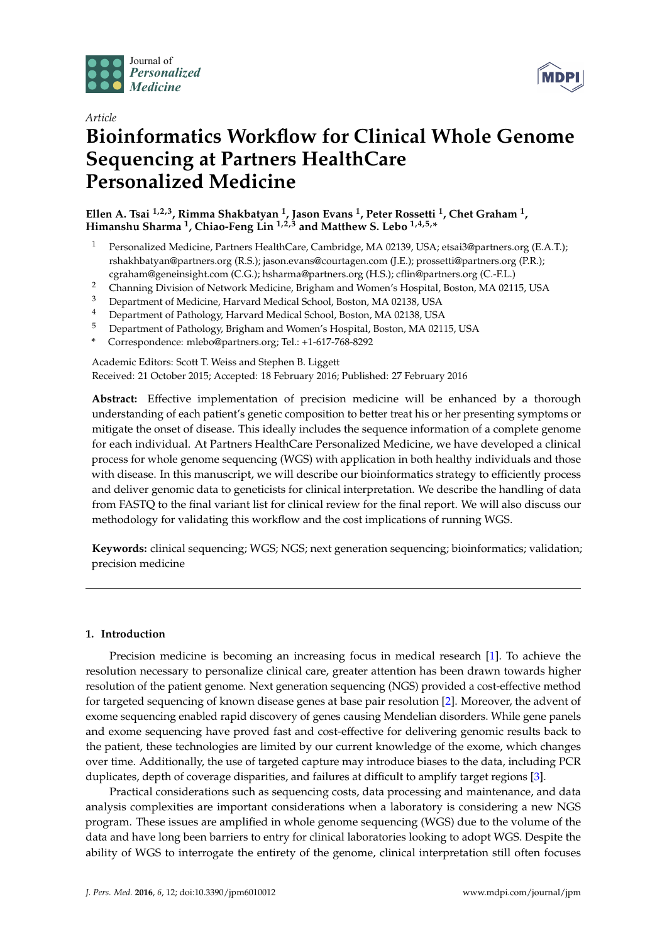

*Article*



# **Bioinformatics Workflow for Clinical Whole Genome Sequencing at Partners HealthCare Personalized Medicine**

# **Ellen A. Tsai 1,2,3, Rimma Shakbatyan <sup>1</sup> , Jason Evans <sup>1</sup> , Peter Rossetti <sup>1</sup> , Chet Graham <sup>1</sup> , Himanshu Sharma <sup>1</sup> , Chiao-Feng Lin 1,2,3 and Matthew S. Lebo 1,4,5,\***

- <sup>1</sup> Personalized Medicine, Partners HealthCare, Cambridge, MA 02139, USA; etsai3@partners.org (E.A.T.); rshakhbatyan@partners.org (R.S.); jason.evans@courtagen.com (J.E.); prossetti@partners.org (P.R.); cgraham@geneinsight.com (C.G.); hsharma@partners.org (H.S.); cflin@partners.org (C.-F.L.)
- <sup>2</sup> Channing Division of Network Medicine, Brigham and Women's Hospital, Boston, MA 02115, USA<br><sup>3</sup> Department of Medicine, Harvard Medical School, Boston, MA 02138, USA
- <sup>3</sup> Department of Medicine, Harvard Medical School, Boston, MA 02138, USA
- <sup>4</sup> Department of Pathology, Harvard Medical School, Boston, MA 02138, USA
- <sup>5</sup> Department of Pathology, Brigham and Women's Hospital, Boston, MA 02115, USA
- **\*** Correspondence: mlebo@partners.org; Tel.: +1-617-768-8292

Academic Editors: Scott T. Weiss and Stephen B. Liggett Received: 21 October 2015; Accepted: 18 February 2016; Published: 27 February 2016

**Abstract:** Effective implementation of precision medicine will be enhanced by a thorough understanding of each patient's genetic composition to better treat his or her presenting symptoms or mitigate the onset of disease. This ideally includes the sequence information of a complete genome for each individual. At Partners HealthCare Personalized Medicine, we have developed a clinical process for whole genome sequencing (WGS) with application in both healthy individuals and those with disease. In this manuscript, we will describe our bioinformatics strategy to efficiently process and deliver genomic data to geneticists for clinical interpretation. We describe the handling of data from FASTQ to the final variant list for clinical review for the final report. We will also discuss our methodology for validating this workflow and the cost implications of running WGS.

**Keywords:** clinical sequencing; WGS; NGS; next generation sequencing; bioinformatics; validation; precision medicine

### **1. Introduction**

Precision medicine is becoming an increasing focus in medical research [\[1\]](#page-8-0). To achieve the resolution necessary to personalize clinical care, greater attention has been drawn towards higher resolution of the patient genome. Next generation sequencing (NGS) provided a cost-effective method for targeted sequencing of known disease genes at base pair resolution [\[2\]](#page-8-1). Moreover, the advent of exome sequencing enabled rapid discovery of genes causing Mendelian disorders. While gene panels and exome sequencing have proved fast and cost-effective for delivering genomic results back to the patient, these technologies are limited by our current knowledge of the exome, which changes over time. Additionally, the use of targeted capture may introduce biases to the data, including PCR duplicates, depth of coverage disparities, and failures at difficult to amplify target regions [\[3\]](#page-8-2).

Practical considerations such as sequencing costs, data processing and maintenance, and data analysis complexities are important considerations when a laboratory is considering a new NGS program. These issues are amplified in whole genome sequencing (WGS) due to the volume of the data and have long been barriers to entry for clinical laboratories looking to adopt WGS. Despite the ability of WGS to interrogate the entirety of the genome, clinical interpretation still often focuses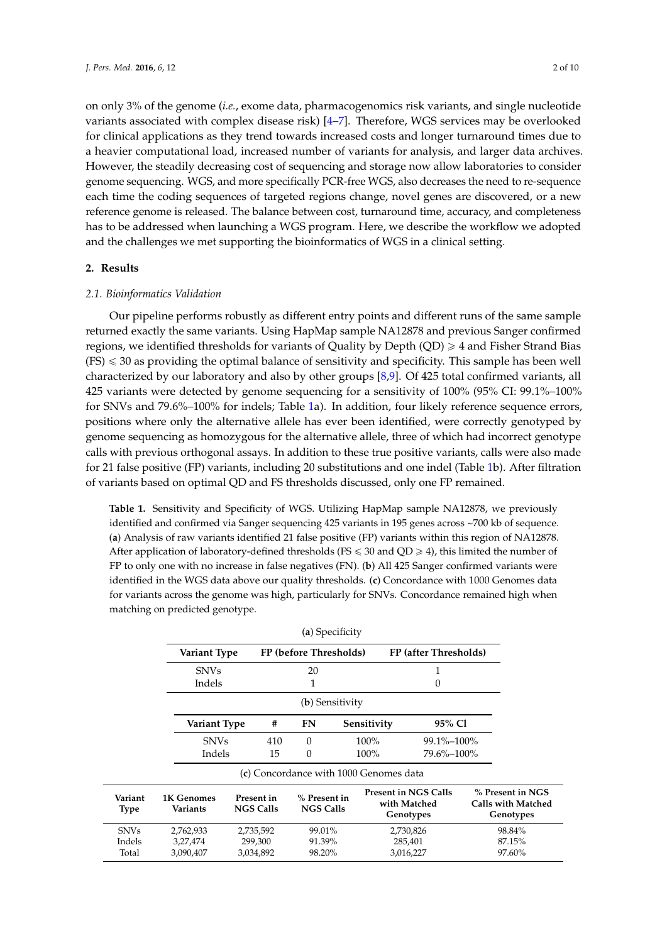on only 3% of the genome (*i.e.*, exome data, pharmacogenomics risk variants, and single nucleotide variants associated with complex disease risk) [\[4](#page-8-3)[–7\]](#page-8-4). Therefore, WGS services may be overlooked for clinical applications as they trend towards increased costs and longer turnaround times due to a heavier computational load, increased number of variants for analysis, and larger data archives. However, the steadily decreasing cost of sequencing and storage now allow laboratories to consider genome sequencing. WGS, and more specifically PCR-free WGS, also decreases the need to re-sequence each time the coding sequences of targeted regions change, novel genes are discovered, or a new reference genome is released. The balance between cost, turnaround time, accuracy, and completeness has to be addressed when launching a WGS program. Here, we describe the workflow we adopted and the challenges we met supporting the bioinformatics of WGS in a clinical setting.

#### **2. Results**

#### *2.1. Bioinformatics Validation*

Our pipeline performs robustly as different entry points and different runs of the same sample returned exactly the same variants. Using HapMap sample NA12878 and previous Sanger confirmed regions, we identified thresholds for variants of Quality by Depth  $(QD) \geq 4$  and Fisher Strand Bias  $(FS) \leq 30$  as providing the optimal balance of sensitivity and specificity. This sample has been well characterized by our laboratory and also by other groups [\[8,](#page-8-5)[9\]](#page-8-6). Of 425 total confirmed variants, all 425 variants were detected by genome sequencing for a sensitivity of 100% (95% CI: 99.1%–100% for SNVs and 79.6%–100% for indels; Table [1a](#page-1-0)). In addition, four likely reference sequence errors, positions where only the alternative allele has ever been identified, were correctly genotyped by genome sequencing as homozygous for the alternative allele, three of which had incorrect genotype calls with previous orthogonal assays. In addition to these true positive variants, calls were also made for 21 false positive (FP) variants, including 20 substitutions and one indel (Table [1b](#page-1-0)). After filtration of variants based on optimal QD and FS thresholds discussed, only one FP remained.

<span id="page-1-0"></span>**Table 1.** Sensitivity and Specificity of WGS. Utilizing HapMap sample NA12878, we previously identified and confirmed via Sanger sequencing 425 variants in 195 genes across ~700 kb of sequence. (**a**) Analysis of raw variants identified 21 false positive (FP) variants within this region of NA12878. After application of laboratory-defined thresholds (FS  $\leq$  30 and QD  $\geq$  4), this limited the number of FP to only one with no increase in false negatives (FN). (**b**) All 425 Sanger confirmed variants were identified in the WGS data above our quality thresholds. (**c**) Concordance with 1000 Genomes data for variants across the genome was high, particularly for SNVs. Concordance remained high when matching on predicted genotype.

| <b>Variant Type</b> | FP (before Thresholds) |           |                 | FP (after Thresholds) |  |
|---------------------|------------------------|-----------|-----------------|-----------------------|--|
| <b>SNVs</b>         | 20                     |           |                 |                       |  |
| Indels              |                        |           |                 | $\theta$              |  |
|                     |                        |           | (b) Sensitivity |                       |  |
| <b>Variant Type</b> | #                      | <b>FN</b> | Sensitivity     | 95% Cl                |  |
| <b>SNVs</b>         | 410                    | 0         | $100\%$         | $99.1\% - 100\%$      |  |
| Indels              | 15                     | 0         | 100%            | 79.6%-100%            |  |

| Variant<br>Type | <b>1K Genomes</b><br>Variants | Present in<br><b>NGS Calls</b> | $%$ Present in<br><b>NGS Calls</b> | <b>Present in NGS Calls</b><br>with Matched<br>Genotypes | % Present in NGS<br><b>Calls with Matched</b><br>Genotypes |
|-----------------|-------------------------------|--------------------------------|------------------------------------|----------------------------------------------------------|------------------------------------------------------------|
| <b>SNVs</b>     | 2.762.933                     | 2,735,592                      | 99.01%                             | 2,730,826                                                | 98.84%                                                     |
| Indels          | 3.27.474                      | 299,300                        | 91.39%                             | 285.401                                                  | 87.15%                                                     |
| Total           | 3.090.407                     | 3,034,892                      | 98.20%                             | 3,016,227                                                | 97.60%                                                     |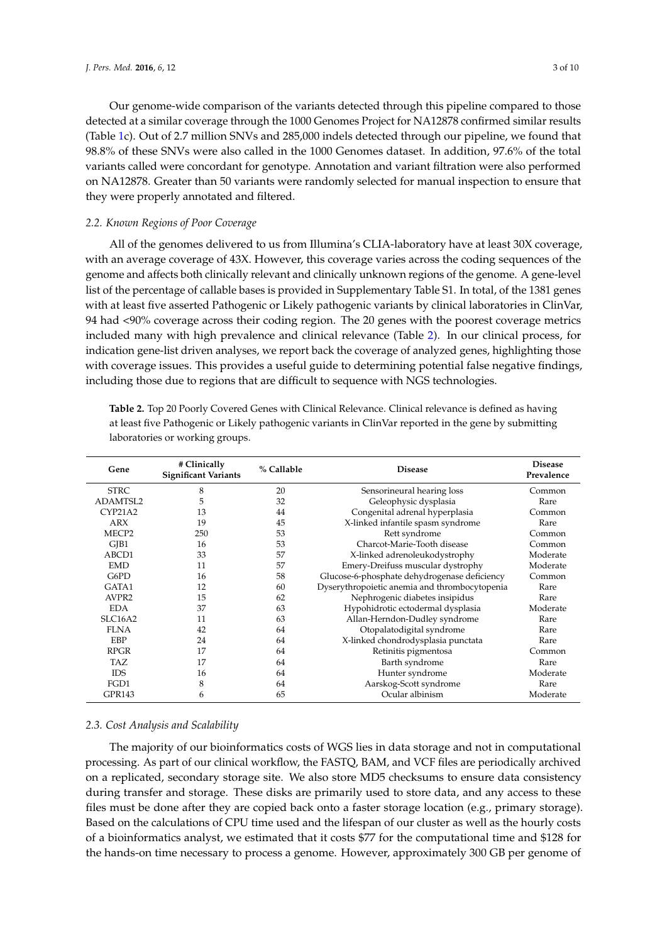Our genome-wide comparison of the variants detected through this pipeline compared to those detected at a similar coverage through the 1000 Genomes Project for NA12878 confirmed similar results (Table [1c](#page-1-0)). Out of 2.7 million SNVs and 285,000 indels detected through our pipeline, we found that 98.8% of these SNVs were also called in the 1000 Genomes dataset. In addition, 97.6% of the total variants called were concordant for genotype. Annotation and variant filtration were also performed on NA12878. Greater than 50 variants were randomly selected for manual inspection to ensure that they were properly annotated and filtered.

#### *2.2. Known Regions of Poor Coverage*

All of the genomes delivered to us from Illumina's CLIA-laboratory have at least 30X coverage, with an average coverage of 43X. However, this coverage varies across the coding sequences of the genome and affects both clinically relevant and clinically unknown regions of the genome. A gene-level list of the percentage of callable bases is provided in Supplementary Table S1. In total, of the 1381 genes with at least five asserted Pathogenic or Likely pathogenic variants by clinical laboratories in ClinVar, 94 had <90% coverage across their coding region. The 20 genes with the poorest coverage metrics included many with high prevalence and clinical relevance (Table [2\)](#page-2-0). In our clinical process, for indication gene-list driven analyses, we report back the coverage of analyzed genes, highlighting those with coverage issues. This provides a useful guide to determining potential false negative findings, including those due to regions that are difficult to sequence with NGS technologies.

| Gene                 | # Clinically<br><b>Significant Variants</b> | % Callable | <b>Disease</b>                                | <b>Disease</b><br>Prevalence |
|----------------------|---------------------------------------------|------------|-----------------------------------------------|------------------------------|
| <b>STRC</b>          | 8                                           | 20         | Sensorineural hearing loss                    | Common                       |
| ADAMTSL <sub>2</sub> | 5                                           | 32         | Geleophysic dysplasia                         | Rare                         |
| CYP21A2              | 13                                          | 44         | Congenital adrenal hyperplasia                | Common                       |
| ARX                  | 19                                          | 45         | X-linked infantile spasm syndrome             | Rare                         |
| MECP2                | 250                                         | 53         | Rett syndrome                                 | Common                       |
| GIB1                 | 16                                          | 53         | Charcot-Marie-Tooth disease                   | Common                       |
| ABCD1                | 33                                          | 57         | X-linked adrenoleukodystrophy                 | Moderate                     |
| <b>EMD</b>           | 11                                          | 57         | Emery-Dreifuss muscular dystrophy             | Moderate                     |
| G6PD                 | 16                                          | 58         | Glucose-6-phosphate dehydrogenase deficiency  | Common                       |
| GATA1                | 12                                          | 60         | Dyserythropoietic anemia and thrombocytopenia | Rare                         |
| AVPR <sub>2</sub>    | 15                                          | 62         | Nephrogenic diabetes insipidus                | Rare                         |
| <b>EDA</b>           | 37                                          | 63         | Hypohidrotic ectodermal dysplasia             | Moderate                     |
| SLC16A2              | 11                                          | 63         | Allan-Herndon-Dudley syndrome                 | Rare                         |
| <b>FLNA</b>          | 42                                          | 64         | Otopalatodigital syndrome                     | Rare                         |
| <b>EBP</b>           | 24                                          | 64         | X-linked chondrodysplasia punctata            | Rare                         |
| <b>RPGR</b>          | 17                                          | 64         | Retinitis pigmentosa                          | Common                       |
| TAZ.                 | 17                                          | 64         | Barth syndrome                                | Rare                         |
| <b>IDS</b>           | 16                                          | 64         | Hunter syndrome                               | Moderate                     |
| FGD1                 | 8                                           | 64         | Aarskog-Scott syndrome                        | Rare                         |
| GPR143               | 6                                           | 65         | Ocular albinism                               | Moderate                     |

<span id="page-2-0"></span>**Table 2.** Top 20 Poorly Covered Genes with Clinical Relevance. Clinical relevance is defined as having at least five Pathogenic or Likely pathogenic variants in ClinVar reported in the gene by submitting laboratories or working groups.

#### *2.3. Cost Analysis and Scalability*

The majority of our bioinformatics costs of WGS lies in data storage and not in computational processing. As part of our clinical workflow, the FASTQ, BAM, and VCF files are periodically archived on a replicated, secondary storage site. We also store MD5 checksums to ensure data consistency during transfer and storage. These disks are primarily used to store data, and any access to these files must be done after they are copied back onto a faster storage location (e.g., primary storage). Based on the calculations of CPU time used and the lifespan of our cluster as well as the hourly costs of a bioinformatics analyst, we estimated that it costs \$77 for the computational time and \$128 for the hands-on time necessary to process a genome. However, approximately 300 GB per genome of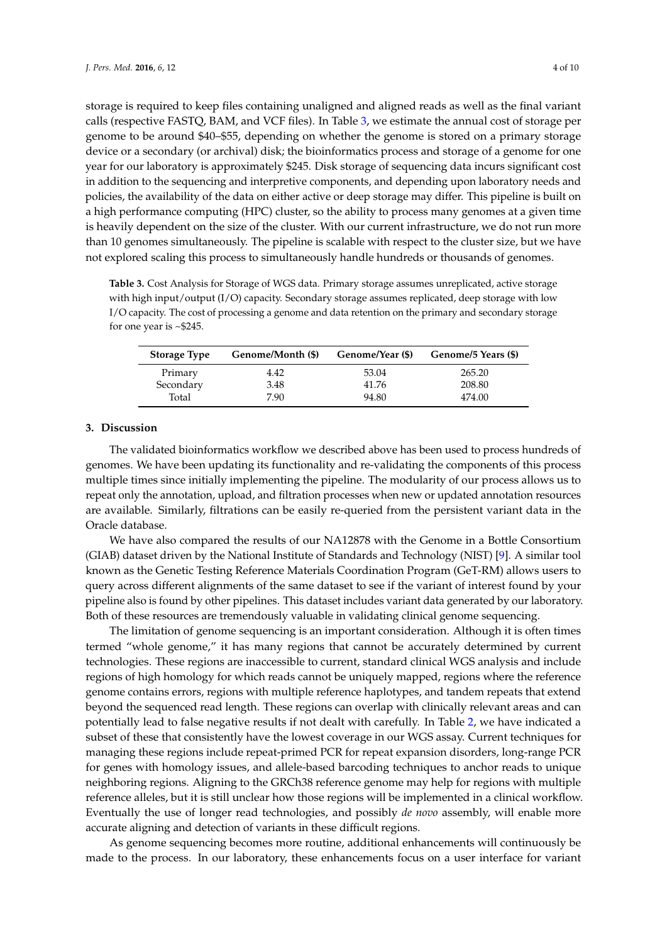storage is required to keep files containing unaligned and aligned reads as well as the final variant calls (respective FASTQ, BAM, and VCF files). In Table [3,](#page-3-0) we estimate the annual cost of storage per genome to be around \$40–\$55, depending on whether the genome is stored on a primary storage device or a secondary (or archival) disk; the bioinformatics process and storage of a genome for one year for our laboratory is approximately \$245. Disk storage of sequencing data incurs significant cost in addition to the sequencing and interpretive components, and depending upon laboratory needs and policies, the availability of the data on either active or deep storage may differ. This pipeline is built on a high performance computing (HPC) cluster, so the ability to process many genomes at a given time is heavily dependent on the size of the cluster. With our current infrastructure, we do not run more than 10 genomes simultaneously. The pipeline is scalable with respect to the cluster size, but we have not explored scaling this process to simultaneously handle hundreds or thousands of genomes.

<span id="page-3-0"></span>**Table 3.** Cost Analysis for Storage of WGS data. Primary storage assumes unreplicated, active storage with high input/output (I/O) capacity. Secondary storage assumes replicated, deep storage with low I/O capacity. The cost of processing a genome and data retention on the primary and secondary storage for one year is ~\$245.

| <b>Storage Type</b> | Genome/Month (\$) | Genome/Year (\$) | Genome/5 Years (\$) |
|---------------------|-------------------|------------------|---------------------|
| Primary             | 4.42              | 53.04            | 265.20              |
| Secondary           | 3.48              | 41.76            | 208.80              |
| Total               | 7.90              | 94.80            | 474.00              |

#### **3. Discussion**

The validated bioinformatics workflow we described above has been used to process hundreds of genomes. We have been updating its functionality and re-validating the components of this process multiple times since initially implementing the pipeline. The modularity of our process allows us to repeat only the annotation, upload, and filtration processes when new or updated annotation resources are available. Similarly, filtrations can be easily re-queried from the persistent variant data in the Oracle database.

We have also compared the results of our NA12878 with the Genome in a Bottle Consortium (GIAB) dataset driven by the National Institute of Standards and Technology (NIST) [\[9\]](#page-8-6). A similar tool known as the Genetic Testing Reference Materials Coordination Program (GeT-RM) allows users to query across different alignments of the same dataset to see if the variant of interest found by your pipeline also is found by other pipelines. This dataset includes variant data generated by our laboratory. Both of these resources are tremendously valuable in validating clinical genome sequencing.

The limitation of genome sequencing is an important consideration. Although it is often times termed "whole genome," it has many regions that cannot be accurately determined by current technologies. These regions are inaccessible to current, standard clinical WGS analysis and include regions of high homology for which reads cannot be uniquely mapped, regions where the reference genome contains errors, regions with multiple reference haplotypes, and tandem repeats that extend beyond the sequenced read length. These regions can overlap with clinically relevant areas and can potentially lead to false negative results if not dealt with carefully. In Table [2,](#page-2-0) we have indicated a subset of these that consistently have the lowest coverage in our WGS assay. Current techniques for managing these regions include repeat-primed PCR for repeat expansion disorders, long-range PCR for genes with homology issues, and allele-based barcoding techniques to anchor reads to unique neighboring regions. Aligning to the GRCh38 reference genome may help for regions with multiple reference alleles, but it is still unclear how those regions will be implemented in a clinical workflow. Eventually the use of longer read technologies, and possibly *de novo* assembly, will enable more accurate aligning and detection of variants in these difficult regions.

As genome sequencing becomes more routine, additional enhancements will continuously be made to the process. In our laboratory, these enhancements focus on a user interface for variant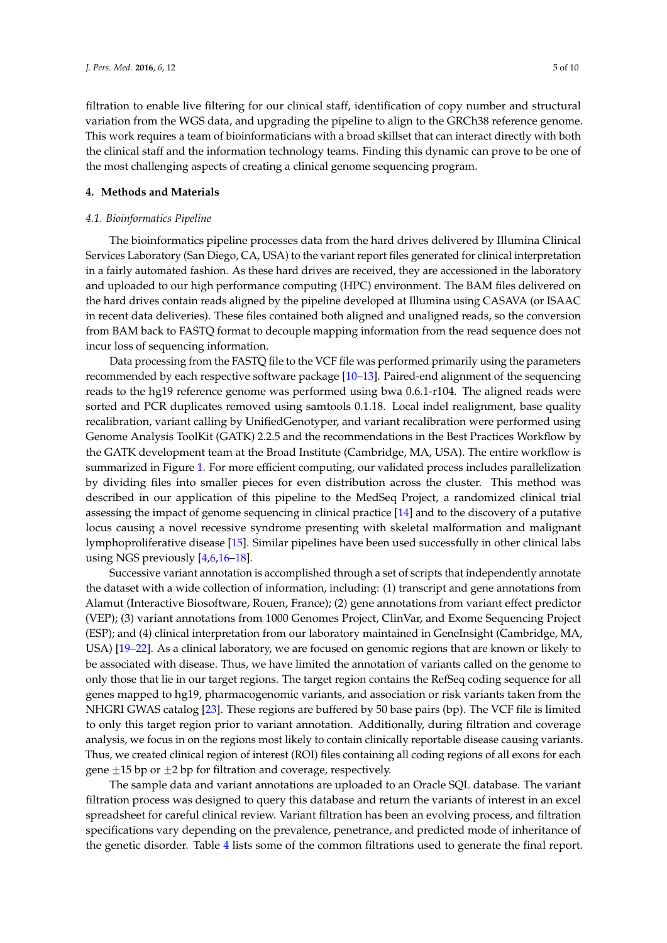filtration to enable live filtering for our clinical staff, identification of copy number and structural variation from the WGS data, and upgrading the pipeline to align to the GRCh38 reference genome. This work requires a team of bioinformaticians with a broad skillset that can interact directly with both the clinical staff and the information technology teams. Finding this dynamic can prove to be one of the most challenging aspects of creating a clinical genome sequencing program.

#### **4. Methods and Materials**

#### *4.1. Bioinformatics Pipeline*

The bioinformatics pipeline processes data from the hard drives delivered by Illumina Clinical Services Laboratory (San Diego, CA, USA) to the variant report files generated for clinical interpretation in a fairly automated fashion. As these hard drives are received, they are accessioned in the laboratory and uploaded to our high performance computing (HPC) environment. The BAM files delivered on the hard drives contain reads aligned by the pipeline developed at Illumina using CASAVA (or ISAAC in recent data deliveries). These files contained both aligned and unaligned reads, so the conversion from BAM back to FASTQ format to decouple mapping information from the read sequence does not incur loss of sequencing information.

Data processing from the FASTQ file to the VCF file was performed primarily using the parameters recommended by each respective software package [\[10–](#page-8-7)[13\]](#page-9-0). Paired-end alignment of the sequencing reads to the hg19 reference genome was performed using bwa 0.6.1-r104. The aligned reads were sorted and PCR duplicates removed using samtools 0.1.18. Local indel realignment, base quality recalibration, variant calling by UnifiedGenotyper, and variant recalibration were performed using Genome Analysis ToolKit (GATK) 2.2.5 and the recommendations in the Best Practices Workflow by the GATK development team at the Broad Institute (Cambridge, MA, USA). The entire workflow is summarized in Figure [1.](#page-5-0) For more efficient computing, our validated process includes parallelization by dividing files into smaller pieces for even distribution across the cluster. This method was described in our application of this pipeline to the MedSeq Project, a randomized clinical trial assessing the impact of genome sequencing in clinical practice [\[14\]](#page-9-1) and to the discovery of a putative locus causing a novel recessive syndrome presenting with skeletal malformation and malignant lymphoproliferative disease [\[15\]](#page-9-2). Similar pipelines have been used successfully in other clinical labs using NGS previously [\[4,](#page-8-3)[6,](#page-8-8)[16–](#page-9-3)[18\]](#page-9-4).

Successive variant annotation is accomplished through a set of scripts that independently annotate the dataset with a wide collection of information, including: (1) transcript and gene annotations from Alamut (Interactive Biosoftware, Rouen, France); (2) gene annotations from variant effect predictor (VEP); (3) variant annotations from 1000 Genomes Project, ClinVar, and Exome Sequencing Project (ESP); and (4) clinical interpretation from our laboratory maintained in GeneInsight (Cambridge, MA, USA) [\[19](#page-9-5)[–22\]](#page-9-6). As a clinical laboratory, we are focused on genomic regions that are known or likely to be associated with disease. Thus, we have limited the annotation of variants called on the genome to only those that lie in our target regions. The target region contains the RefSeq coding sequence for all genes mapped to hg19, pharmacogenomic variants, and association or risk variants taken from the NHGRI GWAS catalog [\[23\]](#page-9-7). These regions are buffered by 50 base pairs (bp). The VCF file is limited to only this target region prior to variant annotation. Additionally, during filtration and coverage analysis, we focus in on the regions most likely to contain clinically reportable disease causing variants. Thus, we created clinical region of interest (ROI) files containing all coding regions of all exons for each gene  $\pm 15$  bp or  $\pm 2$  bp for filtration and coverage, respectively.

The sample data and variant annotations are uploaded to an Oracle SQL database. The variant filtration process was designed to query this database and return the variants of interest in an excel spreadsheet for careful clinical review. Variant filtration has been an evolving process, and filtration specifications vary depending on the prevalence, penetrance, and predicted mode of inheritance of the genetic disorder. Table [4](#page-6-0) lists some of the common filtrations used to generate the final report.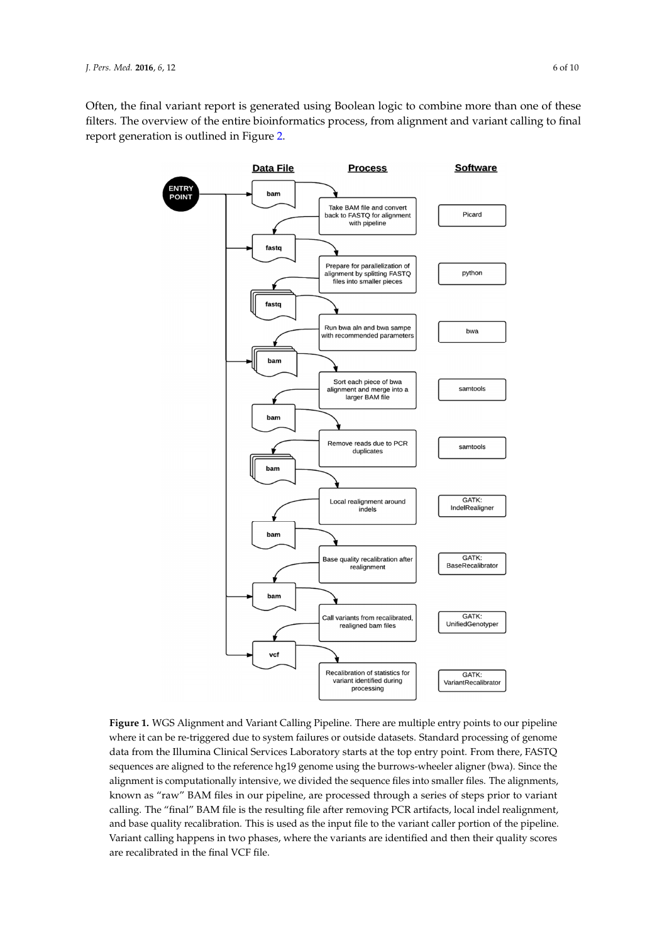Often, the final variant report is generated using Boolean logic to combine more than one of these filters. The overview of the entire bioinformatics process, from alignment and variant calling to final report generation is outlined in Figure [2.](#page-6-1)

<span id="page-5-0"></span>

**Figure 1.** WGS Alignment and Variant Calling Pipeline. There are multiple entry points to our **Figure 1.** WGS Alignment and Variant Calling Pipeline. There are multiple entry points to our pipeline pipeline where it can be re-triggered due to system failures or outside datasets. Standard processing where it can be re-triggered due to system failures or outside datasets. Standard processing of genome of genome data from the Illumina Clinical Services Laboratory starts at the top entry point. From data from the Illumina Clinical Services Laboratory starts at the top entry point. From there, FASTQ equences are aligned to the reference hg19 genome using the burrows-wheeler aligner (bwa). Since the sequences are aligned to the reference hg19 genome using the burrows-wheeler aligner (bwa). Since the (bwa). Since the alignment is computationally intensive, we divided the sequence files into smaller alignment is computationally intensive, we divided the sequence files into smaller files. The alignments, files. The alignments, known as "raw" BAM files in our pipeline, are processed through a series of known as "raw" BAM files in our pipeline, are processed through a series of steps prior to variant steps prior to variant calling. The "final" BAM file is the resulting file after removing PCR artifacts, calling. The "final" BAM file is the resulting file after removing PCR artifacts, local indel realignment, edding. The Timat Brint the B are researing the arter removing Fervariances, focal meter realigement, and base quality recalibration. This is used as the input file to the variant caller portion of the pipeline. caller portion of the pipeline. The pipeline when the variant calling phases of the variants are the variants are the variants are the variants are the variants are the variants are the variants are the variants are the va Variant calling happens in two phases, where the variants are identified and then their quality scores<br>
Variants are identified and then their quality scores are recalibrated in the final VCF file.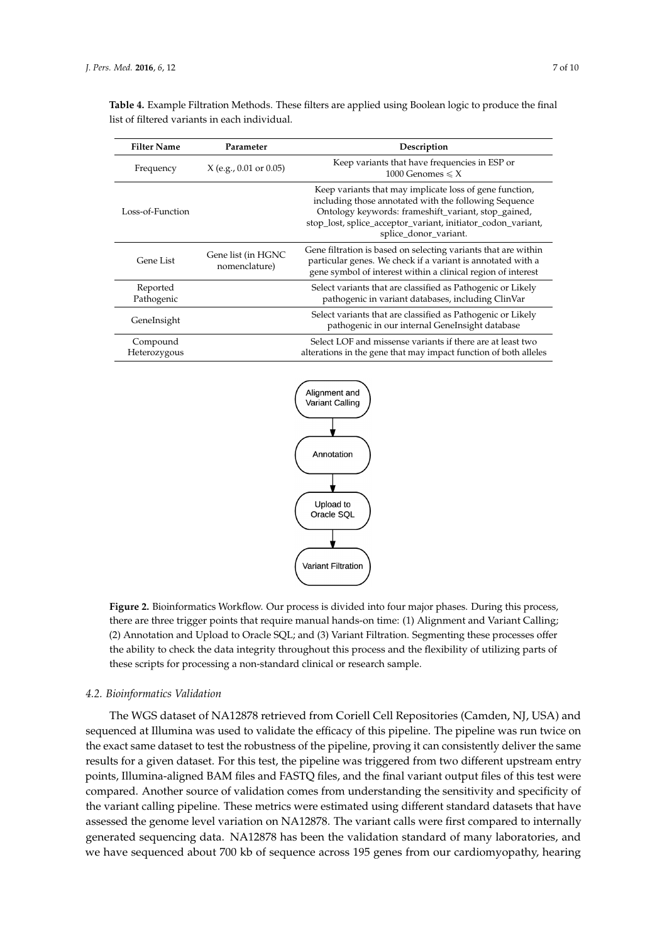Reported Pathogenic

Compound Heterozygous Compound

<span id="page-6-1"></span> $\frac{1}{\sqrt{2}}$ 

| <b>Filter Name</b> | Parameter                           | Description                                                                                                                                                                                                                                                      |
|--------------------|-------------------------------------|------------------------------------------------------------------------------------------------------------------------------------------------------------------------------------------------------------------------------------------------------------------|
| Frequency          | $X$ (e.g., 0.01 or 0.05)            | Keep variants that have frequencies in ESP or<br>1000 Genomes $\leq X$                                                                                                                                                                                           |
| Loss-of-Function   |                                     | Keep variants that may implicate loss of gene function,<br>including those annotated with the following Sequence<br>Ontology keywords: frameshift_variant, stop_gained,<br>stop_lost, splice_acceptor_variant, initiator_codon_variant,<br>splice_donor_variant. |
| Gene List          | Gene list (in HGNC<br>nomenclature) | Gene filtration is based on selecting variants that are within<br>particular genes. We check if a variant is annotated with a<br>gene symbol of interest within a clinical region of interest                                                                    |

Select variants that are classified as Pathogenic or Likely

Select LOF and missense variants if there are at least two deced EOF and missense variants if there are at least two alterations in the gene that may impact function of both alleles

 $\frac{1}{\sqrt{2}}$  is generated by impact function of both alleged  $\frac{1}{\sqrt{2}}$ 

<span id="page-6-0"></span>**Table 4.** Example Filtration Methods. These filters are applied using Boolean logic to produce the final list of filtered variants in each individual.

Pathogenic Pathogenic Pathogenic Select variant databases, including ClinVar GeneInsight Select variants that are classified as Pathogenic or Likely<br>
state in current Conglusiable databases GeneInsight Select variants of the pathogenic in our internal GeneInsight database



**Figure 2.** Bioinformatics Workflow. Our process is divided into four major phases. During this **Figure 2.** Bioinformatics Workflow. Our process is divided into four major phases. During this process, there are three trigger points that require manual hands-on time: (1) Alignment and Variant Calling; (2) Annotation and Upload to Oracle SQL; and (3) Variant Filtration. Segmenting these processes offer the ability to check the data integrity throughout this process and the flexibility of utilizing parts of these scripts for processing a non-standard clinical or research sample.

# *4.2. Bioinformatics Validation 4.2. Bioinformatics Validation*

The WGS dataset of NA12878 retrieved from Coriell Cell Repositories (Camden, NJ, USA) and The WGS dataset of NA12878 retrieved from Coriell Cell Repositories (Camden, NJ, USA) and sequenced at Illumina was used to validate the efficacy of this pipeline. The pipeline was run twice on the exact same dataset to test the robustness of the pipeline, proving it can consistently deliver the same results for a given dataset. For this test, the pipeline was triggered from two different upstream entry points, Illumina-aligned BAM files and FASTQ files, and the final variant output files of this test were  $\overline{\text{R}}$  compared. Another source of validation comes from understanding the sensitivity and specificity of the variant calling pipeline. These metrics were estimated using different standard datasets that have assessed the genome level variation on NA12878. The variant calls were first compared to internally generated sequencing data. NA12878 has been the validation standard of many laboratories, and  $m_{\rm B}$  boys sequenced about 700 kb of sequence across 105 genes from our serdiemy parties, beging we have sequenced about 700 kb of sequence across 195 genes from our cardiomyopathy, hearing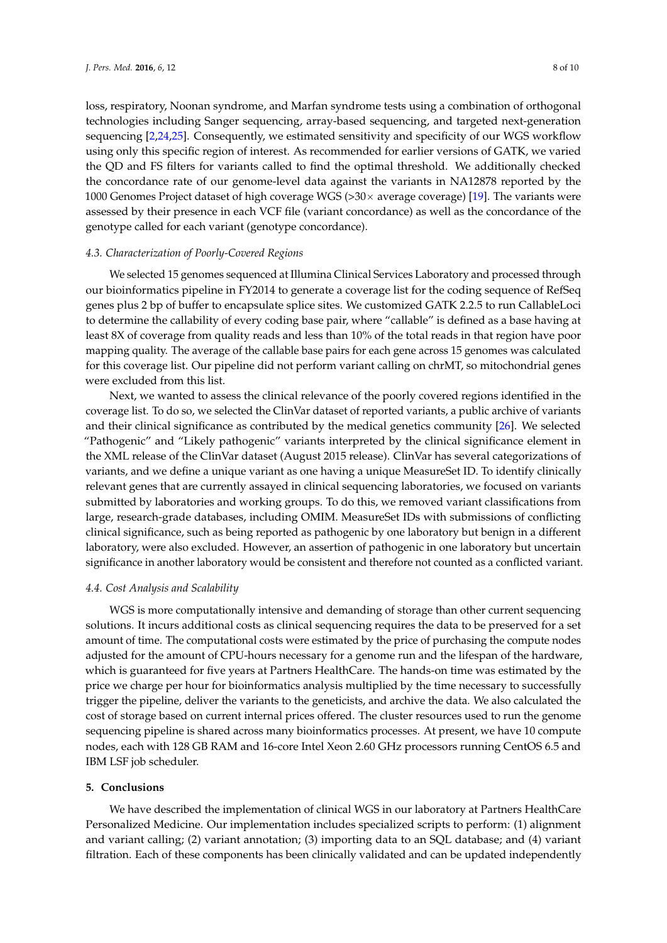loss, respiratory, Noonan syndrome, and Marfan syndrome tests using a combination of orthogonal technologies including Sanger sequencing, array-based sequencing, and targeted next-generation sequencing [\[2](#page-8-1)[,24](#page-9-8)[,25\]](#page-9-9). Consequently, we estimated sensitivity and specificity of our WGS workflow using only this specific region of interest. As recommended for earlier versions of GATK, we varied the QD and FS filters for variants called to find the optimal threshold. We additionally checked the concordance rate of our genome-level data against the variants in NA12878 reported by the 1000 Genomes Project dataset of high coverage WGS (> $30\times$  average coverage) [\[19\]](#page-9-5). The variants were assessed by their presence in each VCF file (variant concordance) as well as the concordance of the genotype called for each variant (genotype concordance).

#### *4.3. Characterization of Poorly-Covered Regions*

We selected 15 genomes sequenced at Illumina Clinical Services Laboratory and processed through our bioinformatics pipeline in FY2014 to generate a coverage list for the coding sequence of RefSeq genes plus 2 bp of buffer to encapsulate splice sites. We customized GATK 2.2.5 to run CallableLoci to determine the callability of every coding base pair, where "callable" is defined as a base having at least 8X of coverage from quality reads and less than 10% of the total reads in that region have poor mapping quality. The average of the callable base pairs for each gene across 15 genomes was calculated for this coverage list. Our pipeline did not perform variant calling on chrMT, so mitochondrial genes were excluded from this list.

Next, we wanted to assess the clinical relevance of the poorly covered regions identified in the coverage list. To do so, we selected the ClinVar dataset of reported variants, a public archive of variants and their clinical significance as contributed by the medical genetics community [\[26\]](#page-9-10). We selected "Pathogenic" and "Likely pathogenic" variants interpreted by the clinical significance element in the XML release of the ClinVar dataset (August 2015 release). ClinVar has several categorizations of variants, and we define a unique variant as one having a unique MeasureSet ID. To identify clinically relevant genes that are currently assayed in clinical sequencing laboratories, we focused on variants submitted by laboratories and working groups. To do this, we removed variant classifications from large, research-grade databases, including OMIM. MeasureSet IDs with submissions of conflicting clinical significance, such as being reported as pathogenic by one laboratory but benign in a different laboratory, were also excluded. However, an assertion of pathogenic in one laboratory but uncertain significance in another laboratory would be consistent and therefore not counted as a conflicted variant.

#### *4.4. Cost Analysis and Scalability*

WGS is more computationally intensive and demanding of storage than other current sequencing solutions. It incurs additional costs as clinical sequencing requires the data to be preserved for a set amount of time. The computational costs were estimated by the price of purchasing the compute nodes adjusted for the amount of CPU-hours necessary for a genome run and the lifespan of the hardware, which is guaranteed for five years at Partners HealthCare. The hands-on time was estimated by the price we charge per hour for bioinformatics analysis multiplied by the time necessary to successfully trigger the pipeline, deliver the variants to the geneticists, and archive the data. We also calculated the cost of storage based on current internal prices offered. The cluster resources used to run the genome sequencing pipeline is shared across many bioinformatics processes. At present, we have 10 compute nodes, each with 128 GB RAM and 16-core Intel Xeon 2.60 GHz processors running CentOS 6.5 and IBM LSF job scheduler.

#### **5. Conclusions**

We have described the implementation of clinical WGS in our laboratory at Partners HealthCare Personalized Medicine. Our implementation includes specialized scripts to perform: (1) alignment and variant calling; (2) variant annotation; (3) importing data to an SQL database; and (4) variant filtration. Each of these components has been clinically validated and can be updated independently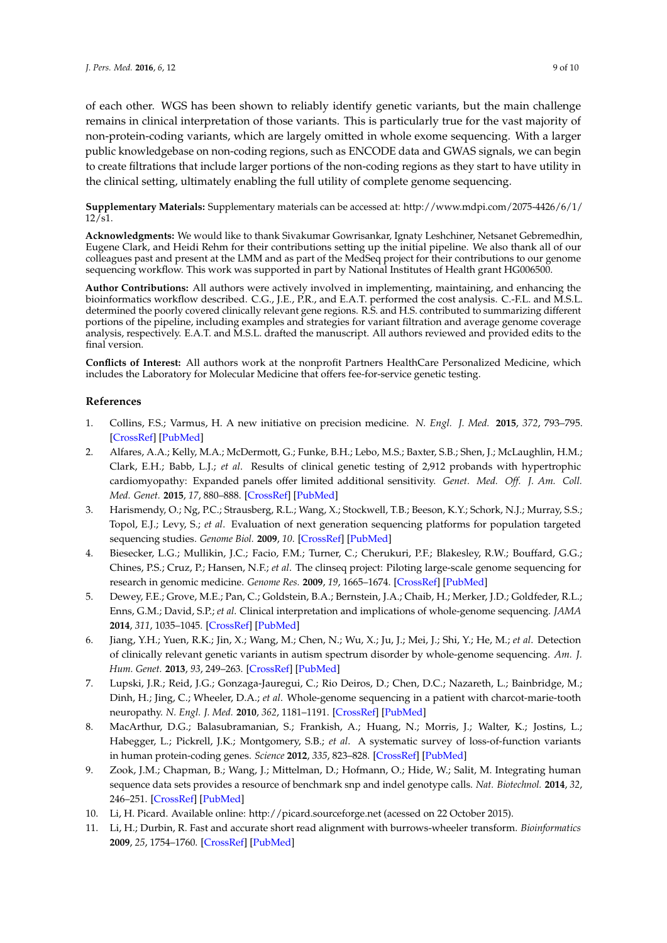of each other. WGS has been shown to reliably identify genetic variants, but the main challenge remains in clinical interpretation of those variants. This is particularly true for the vast majority of non-protein-coding variants, which are largely omitted in whole exome sequencing. With a larger public knowledgebase on non-coding regions, such as ENCODE data and GWAS signals, we can begin to create filtrations that include larger portions of the non-coding regions as they start to have utility in the clinical setting, ultimately enabling the full utility of complete genome sequencing.

**Supplementary Materials:** Supplementary materials can be accessed at: http://www.mdpi.com/2075-4426/6/1/ 12/s1.

**Acknowledgments:** We would like to thank Sivakumar Gowrisankar, Ignaty Leshchiner, Netsanet Gebremedhin, Eugene Clark, and Heidi Rehm for their contributions setting up the initial pipeline. We also thank all of our colleagues past and present at the LMM and as part of the MedSeq project for their contributions to our genome sequencing workflow. This work was supported in part by National Institutes of Health grant HG006500.

**Author Contributions:** All authors were actively involved in implementing, maintaining, and enhancing the bioinformatics workflow described. C.G., J.E., P.R., and E.A.T. performed the cost analysis. C.-F.L. and M.S.L. determined the poorly covered clinically relevant gene regions. R.S. and H.S. contributed to summarizing different portions of the pipeline, including examples and strategies for variant filtration and average genome coverage analysis, respectively. E.A.T. and M.S.L. drafted the manuscript. All authors reviewed and provided edits to the final version.

**Conflicts of Interest:** All authors work at the nonprofit Partners HealthCare Personalized Medicine, which includes the Laboratory for Molecular Medicine that offers fee-for-service genetic testing.

## **References**

- <span id="page-8-0"></span>1. Collins, F.S.; Varmus, H. A new initiative on precision medicine. *N. Engl. J. Med.* **2015**, *372*, 793–795. [\[CrossRef\]](http://dx.doi.org/10.1056/NEJMp1500523) [\[PubMed\]](http://www.ncbi.nlm.nih.gov/pubmed/25635347)
- <span id="page-8-1"></span>2. Alfares, A.A.; Kelly, M.A.; McDermott, G.; Funke, B.H.; Lebo, M.S.; Baxter, S.B.; Shen, J.; McLaughlin, H.M.; Clark, E.H.; Babb, L.J.; *et al*. Results of clinical genetic testing of 2,912 probands with hypertrophic cardiomyopathy: Expanded panels offer limited additional sensitivity. *Genet. Med. Off. J. Am. Coll. Med. Genet.* **2015**, *17*, 880–888. [\[CrossRef\]](http://dx.doi.org/10.1038/gim.2014.205) [\[PubMed\]](http://www.ncbi.nlm.nih.gov/pubmed/25611685)
- <span id="page-8-2"></span>3. Harismendy, O.; Ng, P.C.; Strausberg, R.L.; Wang, X.; Stockwell, T.B.; Beeson, K.Y.; Schork, N.J.; Murray, S.S.; Topol, E.J.; Levy, S.; *et al*. Evaluation of next generation sequencing platforms for population targeted sequencing studies. *Genome Biol.* **2009**, *10*. [\[CrossRef\]](http://dx.doi.org/10.1186/gb-2009-10-3-r32) [\[PubMed\]](http://www.ncbi.nlm.nih.gov/pubmed/19327155)
- <span id="page-8-3"></span>4. Biesecker, L.G.; Mullikin, J.C.; Facio, F.M.; Turner, C.; Cherukuri, P.F.; Blakesley, R.W.; Bouffard, G.G.; Chines, P.S.; Cruz, P.; Hansen, N.F.; *et al*. The clinseq project: Piloting large-scale genome sequencing for research in genomic medicine. *Genome Res.* **2009**, *19*, 1665–1674. [\[CrossRef\]](http://dx.doi.org/10.1101/gr.092841.109) [\[PubMed\]](http://www.ncbi.nlm.nih.gov/pubmed/19602640)
- 5. Dewey, F.E.; Grove, M.E.; Pan, C.; Goldstein, B.A.; Bernstein, J.A.; Chaib, H.; Merker, J.D.; Goldfeder, R.L.; Enns, G.M.; David, S.P.; *et al*. Clinical interpretation and implications of whole-genome sequencing. *JAMA* **2014**, *311*, 1035–1045. [\[CrossRef\]](http://dx.doi.org/10.1001/jama.2014.1717) [\[PubMed\]](http://www.ncbi.nlm.nih.gov/pubmed/24618965)
- <span id="page-8-8"></span>6. Jiang, Y.H.; Yuen, R.K.; Jin, X.; Wang, M.; Chen, N.; Wu, X.; Ju, J.; Mei, J.; Shi, Y.; He, M.; *et al*. Detection of clinically relevant genetic variants in autism spectrum disorder by whole-genome sequencing. *Am. J. Hum. Genet.* **2013**, *93*, 249–263. [\[CrossRef\]](http://dx.doi.org/10.1016/j.ajhg.2013.06.012) [\[PubMed\]](http://www.ncbi.nlm.nih.gov/pubmed/23849776)
- <span id="page-8-4"></span>7. Lupski, J.R.; Reid, J.G.; Gonzaga-Jauregui, C.; Rio Deiros, D.; Chen, D.C.; Nazareth, L.; Bainbridge, M.; Dinh, H.; Jing, C.; Wheeler, D.A.; *et al*. Whole-genome sequencing in a patient with charcot-marie-tooth neuropathy. *N. Engl. J. Med.* **2010**, *362*, 1181–1191. [\[CrossRef\]](http://dx.doi.org/10.1056/NEJMoa0908094) [\[PubMed\]](http://www.ncbi.nlm.nih.gov/pubmed/20220177)
- <span id="page-8-5"></span>8. MacArthur, D.G.; Balasubramanian, S.; Frankish, A.; Huang, N.; Morris, J.; Walter, K.; Jostins, L.; Habegger, L.; Pickrell, J.K.; Montgomery, S.B.; *et al*. A systematic survey of loss-of-function variants in human protein-coding genes. *Science* **2012**, *335*, 823–828. [\[CrossRef\]](http://dx.doi.org/10.1126/science.1215040) [\[PubMed\]](http://www.ncbi.nlm.nih.gov/pubmed/22344438)
- <span id="page-8-6"></span>9. Zook, J.M.; Chapman, B.; Wang, J.; Mittelman, D.; Hofmann, O.; Hide, W.; Salit, M. Integrating human sequence data sets provides a resource of benchmark snp and indel genotype calls. *Nat. Biotechnol.* **2014**, *32*, 246–251. [\[CrossRef\]](http://dx.doi.org/10.1038/nbt.2835) [\[PubMed\]](http://www.ncbi.nlm.nih.gov/pubmed/24531798)
- <span id="page-8-7"></span>10. Li, H. Picard. Available online: http://picard.sourceforge.net (acessed on 22 October 2015).
- 11. Li, H.; Durbin, R. Fast and accurate short read alignment with burrows-wheeler transform. *Bioinformatics* **2009**, *25*, 1754–1760. [\[CrossRef\]](http://dx.doi.org/10.1093/bioinformatics/btp324) [\[PubMed\]](http://www.ncbi.nlm.nih.gov/pubmed/19451168)